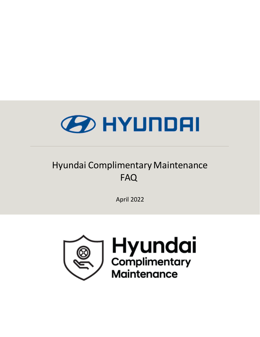

# **FAQ** Hyundai Complimentary Maintenance

April 2022

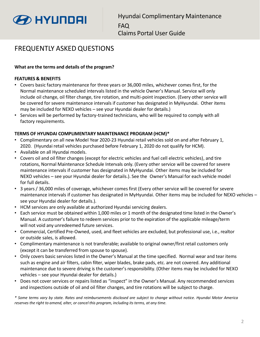

# FREQUENTLY ASKED QUESTIONS

# **What are the terms and details of the program?**

#### **FEATURES & BENEFITS**

- Covers basic factory maintenance for three years or 36,000 miles, whichever comes first, for the Normal maintenance scheduled intervals listed in the vehicle Owner's Manual. Service will only include oil change, oil filter change, tire rotation, and multi-point inspection. (Every other service will be covered for severe maintenance intervals if customer has designated in MyHyundai. Other items may be included for NEXO vehicles – see your Hyundai dealer for details.)
- Services will be performed by factory-trained technicians, who will be required to comply with all factory requirements.

#### **TERMS OF HYUNDAI COMPLIMENTARY MAINTENANCE PROGRAM (HCM)\***

- Complimentary on all new Model Year 2020-23 Hyundai retail vehicles sold on and after February 1, 2020. (Hyundai retail vehicles purchased before February 1, 2020 do not qualify for HCM).
- Available on all Hyundai models.
- Covers oil and oil filter changes (except for electric vehicles and fuel cell electric vehicles), and tire rotations, Normal Maintenance Schedule Intervals only. (Every other service will be covered for severe maintenance intervals if customer has designated in MyHyundai. Other items may be included for NEXO vehicles – see your Hyundai dealer for details.). See the Owner's Manual for each vehicle model for full details.
- 3 years / 36,000 miles of coverage, whichever comes first (Every other service will be covered for severe maintenance intervals if customer has designated in MyHyundai. Other items may be included for NEXO vehicles – see your Hyundai dealer for details.).
- HCM services are only available at authorized Hyundai servicing dealers.
- Each service must be obtained within 1,000 miles or 1 month of the designated time listed in the Owner's Manual. A customer's failure to redeem services prior to the expiration of the applicable mileage/term will not void any unredeemed future services.
- Commercial, Certified Pre-Owned, used, and fleet vehicles are excluded, but professional use, i.e., realtor or outside sales, is allowed.
- Complimentary maintenance is not transferable; available to original owner/first retail customers only (except it can be transferred from spouse to spouse).
- Only covers basic services listed in the Owner's Manual at the time specified. Normal wear and tear items such as engine and air filters, cabin filter, wiper blades, brake pads, etc. are not covered. Any additional maintenance due to severe driving is the customer's responsibility. (Other items may be included for NEXO vehicles – see your Hyundai dealer for details.)
- Does not cover services or repairs listed as "inspect" in the Owner's Manual. Any recommended services and inspections outside of oil and oil filter changes, and tire rotations will be subject to charge.

\* Some terms vary by state. Rates and reimbursements disclosed are subject to change without notice. Hyundai Motor America *reserves the right to amend, alter, or cancel this program, including its terms, at any time.*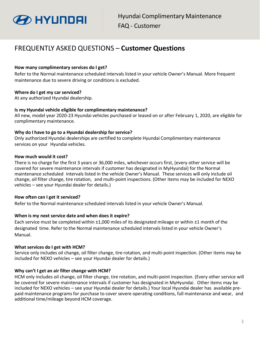

# FREQUENTLY ASKED QUESTIONS – **Customer Questions**

#### **How many complimentary services do I get?**

Refer to the Normal maintenance scheduled intervals listed in your vehicle Owner's Manual. More frequent maintenance due to severe driving or conditions is excluded.

## **Where do I get my car serviced?**

At any authorized Hyundai dealership.

#### **Is my Hyundai vehicle eligible for complimentary maintenance?**

All new, model year 2020-23 Hyundai vehicles purchased or leased on or after February 1, 2020, are eligible for complimentary maintenance.

#### **Why do I have to go to a Hyundai dealership for service?**

Only authorized Hyundai dealerships are certified to complete Hyundai Complimentary maintenance services on your Hyundai vehicles.

#### **How much would it cost?**

There is no charge for the first 3 years or 36,000 miles, whichever occurs first, (every other service will be covered for severe maintenance intervals if customer has designated in MyHyundai) for the Normal maintenance scheduled intervalslisted in the vehicle Owner's Manual. These services will only include oil change, oil filter change, tire rotation, and multi-point inspections. (Other items may be included for NEXO vehicles – see your Hyundai dealer for details.)

# **How often can I get it serviced?**

Refer to the Normal maintenance scheduled intervals listed in your vehicle Owner's Manual.

#### **When is my next service date and when does it expire?**

Each service must be completed within ±1,000 miles of its designated mileage or within ±1 month of the designated time. Refer to the Normal maintenance scheduled intervals listed in your vehicle Owner's Manual.

#### **What services do I get with HCM?**

Service only includes oil change, oil filter change, tire rotation, and multi-point inspection. (Other items may be included for NEXO vehicles – see your Hyundai dealer for details.)

# **Why can't I get an air filter change with HCM?**

HCM only includes oil change, oil filter change, tire rotation, and multi-point inspection. (Every other service will be covered for severe maintenance intervals if customer has designated in MyHyundai. Other items may be included for NEXO vehicles – see your Hyundai dealer for details.) Your local Hyundai dealer has available prepaid maintenance programs for purchase to cover severe operating conditions, full maintenance and wear, and additional time/mileage beyond HCM coverage.